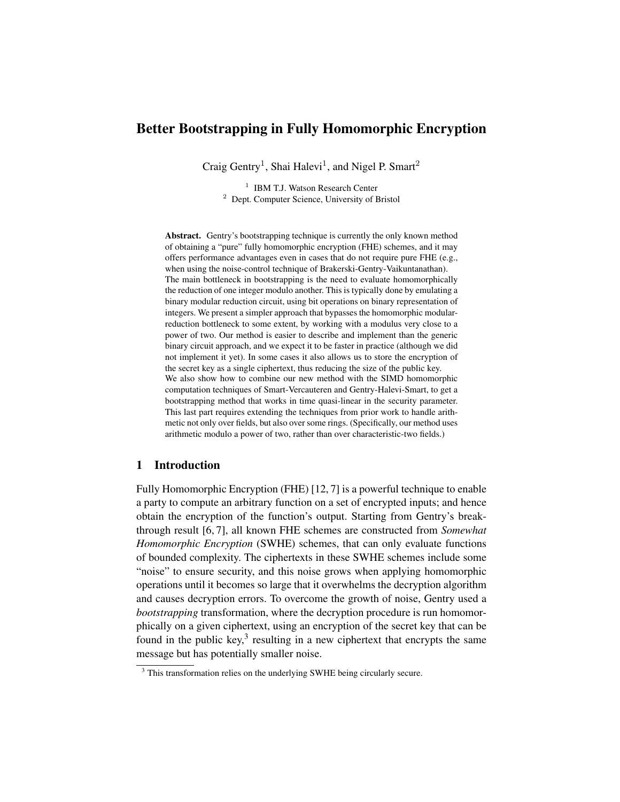# Better Bootstrapping in Fully Homomorphic Encryption

Craig Gentry<sup>1</sup>, Shai Halevi<sup>1</sup>, and Nigel P. Smart<sup>2</sup>

<sup>1</sup> IBM T.J. Watson Research Center <sup>2</sup> Dept. Computer Science, University of Bristol

Abstract. Gentry's bootstrapping technique is currently the only known method of obtaining a "pure" fully homomorphic encryption (FHE) schemes, and it may offers performance advantages even in cases that do not require pure FHE (e.g., when using the noise-control technique of Brakerski-Gentry-Vaikuntanathan). The main bottleneck in bootstrapping is the need to evaluate homomorphically the reduction of one integer modulo another. This is typically done by emulating a binary modular reduction circuit, using bit operations on binary representation of integers. We present a simpler approach that bypasses the homomorphic modularreduction bottleneck to some extent, by working with a modulus very close to a power of two. Our method is easier to describe and implement than the generic binary circuit approach, and we expect it to be faster in practice (although we did not implement it yet). In some cases it also allows us to store the encryption of the secret key as a single ciphertext, thus reducing the size of the public key. We also show how to combine our new method with the SIMD homomorphic computation techniques of Smart-Vercauteren and Gentry-Halevi-Smart, to get a bootstrapping method that works in time quasi-linear in the security parameter. This last part requires extending the techniques from prior work to handle arithmetic not only over fields, but also over some rings. (Specifically, our method uses arithmetic modulo a power of two, rather than over characteristic-two fields.)

# 1 Introduction

Fully Homomorphic Encryption (FHE) [12, 7] is a powerful technique to enable a party to compute an arbitrary function on a set of encrypted inputs; and hence obtain the encryption of the function's output. Starting from Gentry's breakthrough result [6, 7], all known FHE schemes are constructed from *Somewhat Homomorphic Encryption* (SWHE) schemes, that can only evaluate functions of bounded complexity. The ciphertexts in these SWHE schemes include some "noise" to ensure security, and this noise grows when applying homomorphic operations until it becomes so large that it overwhelms the decryption algorithm and causes decryption errors. To overcome the growth of noise, Gentry used a *bootstrapping* transformation, where the decryption procedure is run homomorphically on a given ciphertext, using an encryption of the secret key that can be found in the public key, $3$  resulting in a new ciphertext that encrypts the same message but has potentially smaller noise.

<sup>&</sup>lt;sup>3</sup> This transformation relies on the underlying SWHE being circularly secure.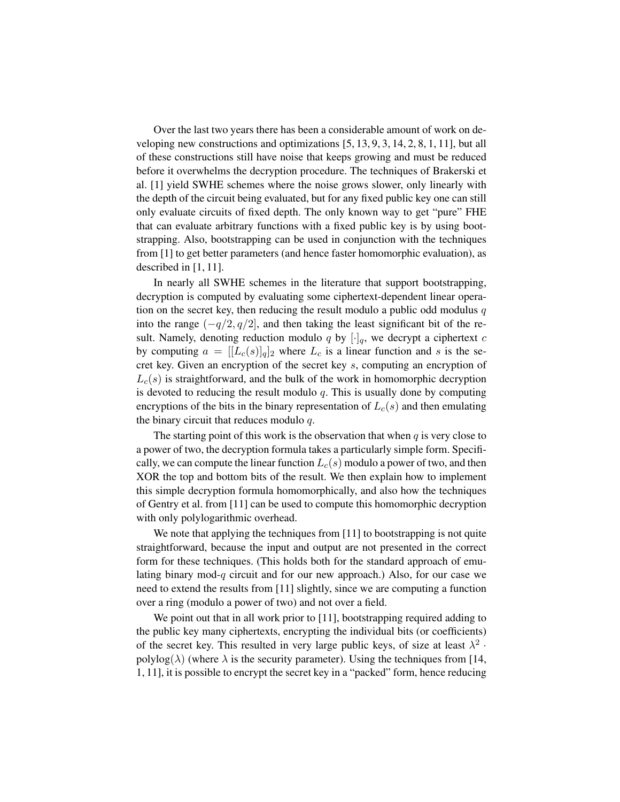Over the last two years there has been a considerable amount of work on developing new constructions and optimizations [5, 13, 9, 3, 14, 2, 8, 1, 11], but all of these constructions still have noise that keeps growing and must be reduced before it overwhelms the decryption procedure. The techniques of Brakerski et al. [1] yield SWHE schemes where the noise grows slower, only linearly with the depth of the circuit being evaluated, but for any fixed public key one can still only evaluate circuits of fixed depth. The only known way to get "pure" FHE that can evaluate arbitrary functions with a fixed public key is by using bootstrapping. Also, bootstrapping can be used in conjunction with the techniques from [1] to get better parameters (and hence faster homomorphic evaluation), as described in [1, 11].

In nearly all SWHE schemes in the literature that support bootstrapping, decryption is computed by evaluating some ciphertext-dependent linear operation on the secret key, then reducing the result modulo a public odd modulus  $q$ into the range  $(-q/2, q/2]$ , and then taking the least significant bit of the result. Namely, denoting reduction modulo q by  $[\cdot]_q$ , we decrypt a ciphertext c by computing  $a = [[L_c(s)]_q]_2$  where  $L_c$  is a linear function and s is the secret key. Given an encryption of the secret key s, computing an encryption of  $L_c(s)$  is straightforward, and the bulk of the work in homomorphic decryption is devoted to reducing the result modulo  $q$ . This is usually done by computing encryptions of the bits in the binary representation of  $L_c(s)$  and then emulating the binary circuit that reduces modulo  $q$ .

The starting point of this work is the observation that when  $q$  is very close to a power of two, the decryption formula takes a particularly simple form. Specifically, we can compute the linear function  $L_c(s)$  modulo a power of two, and then XOR the top and bottom bits of the result. We then explain how to implement this simple decryption formula homomorphically, and also how the techniques of Gentry et al. from [11] can be used to compute this homomorphic decryption with only polylogarithmic overhead.

We note that applying the techniques from [11] to bootstrapping is not quite straightforward, because the input and output are not presented in the correct form for these techniques. (This holds both for the standard approach of emulating binary mod- $q$  circuit and for our new approach.) Also, for our case we need to extend the results from [11] slightly, since we are computing a function over a ring (modulo a power of two) and not over a field.

We point out that in all work prior to [11], bootstrapping required adding to the public key many ciphertexts, encrypting the individual bits (or coefficients) of the secret key. This resulted in very large public keys, of size at least  $\lambda^2$ . polylog( $\lambda$ ) (where  $\lambda$  is the security parameter). Using the techniques from [14, 1, 11], it is possible to encrypt the secret key in a "packed" form, hence reducing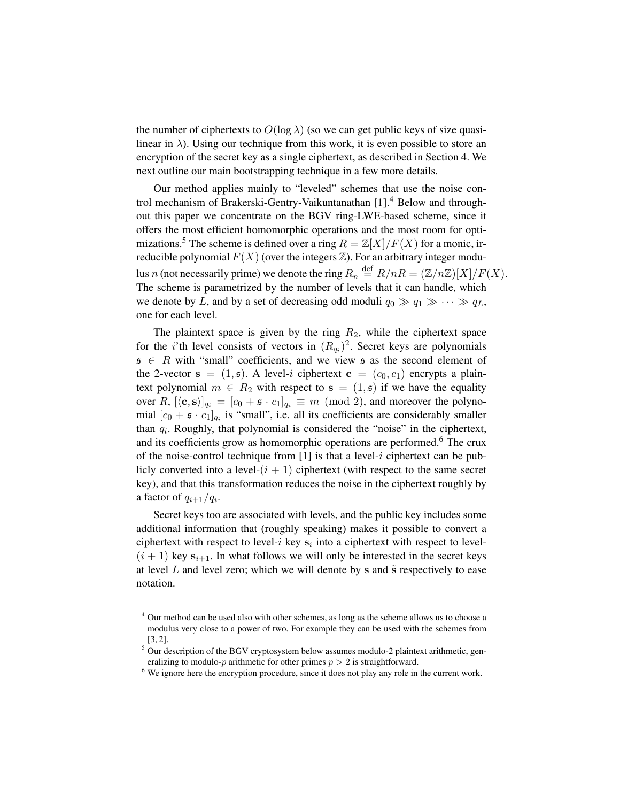the number of ciphertexts to  $O(\log \lambda)$  (so we can get public keys of size quasilinear in  $\lambda$ ). Using our technique from this work, it is even possible to store an encryption of the secret key as a single ciphertext, as described in Section 4. We next outline our main bootstrapping technique in a few more details.

Our method applies mainly to "leveled" schemes that use the noise control mechanism of Brakerski-Gentry-Vaikuntanathan [1].<sup>4</sup> Below and throughout this paper we concentrate on the BGV ring-LWE-based scheme, since it offers the most efficient homomorphic operations and the most room for optimizations.<sup>5</sup> The scheme is defined over a ring  $R = \mathbb{Z}[X]/F(X)$  for a monic, irreducible polynomial  $F(X)$  (over the integers  $\mathbb{Z}$ ). For an arbitrary integer modulus n (not necessarily prime) we denote the ring  $R_n \stackrel{\text{def}}{=} R/nR = (\mathbb{Z}/n\mathbb{Z})[X]/F(X)$ . The scheme is parametrized by the number of levels that it can handle, which we denote by L, and by a set of decreasing odd moduli  $q_0 \gg q_1 \gg \cdots \gg q_L$ , one for each level.

The plaintext space is given by the ring  $R_2$ , while the ciphertext space for the *i*'th level consists of vectors in  $(R_{q_i})^2$ . Secret keys are polynomials  $\mathfrak{s} \in R$  with "small" coefficients, and we view  $\mathfrak{s}$  as the second element of the 2-vector  $s = (1, s)$ . A level-i ciphertext  $c = (c_0, c_1)$  encrypts a plaintext polynomial  $m \in R_2$  with respect to  $s = (1, s)$  if we have the equality over R,  $[\langle \mathbf{c}, \mathbf{s} \rangle]_{q_i} = [c_0 + \mathfrak{s} \cdot c_1]_{q_i} \equiv m \pmod{2}$ , and moreover the polynomial  $[c_0 + \mathfrak{s} \cdot c_1]_{q_i}$  is "small", i.e. all its coefficients are considerably smaller than  $q_i$ . Roughly, that polynomial is considered the "noise" in the ciphertext, and its coefficients grow as homomorphic operations are performed.<sup>6</sup> The crux of the noise-control technique from  $[1]$  is that a level-i ciphertext can be publicly converted into a level- $(i + 1)$  ciphertext (with respect to the same secret key), and that this transformation reduces the noise in the ciphertext roughly by a factor of  $q_{i+1}/q_i$ .

Secret keys too are associated with levels, and the public key includes some additional information that (roughly speaking) makes it possible to convert a ciphertext with respect to level- $i$  key  $s_i$  into a ciphertext with respect to level- $(i + 1)$  key  $s_{i+1}$ . In what follows we will only be interested in the secret keys at level  $L$  and level zero; which we will denote by s and  $\tilde{s}$  respectively to ease notation.

<sup>4</sup> Our method can be used also with other schemes, as long as the scheme allows us to choose a modulus very close to a power of two. For example they can be used with the schemes from [3, 2].

<sup>&</sup>lt;sup>5</sup> Our description of the BGV cryptosystem below assumes modulo-2 plaintext arithmetic, generalizing to modulo- $p$  arithmetic for other primes  $p > 2$  is straightforward.

<sup>&</sup>lt;sup>6</sup> We ignore here the encryption procedure, since it does not play any role in the current work.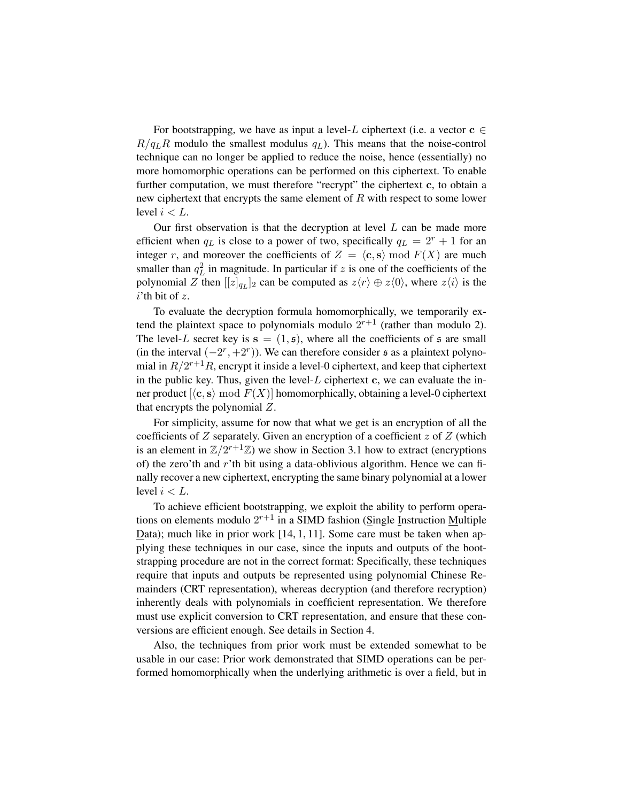For bootstrapping, we have as input a level-L ciphertext (i.e. a vector  $c \in \mathcal{C}$  $R/q_LR$  modulo the smallest modulus  $q_L$ ). This means that the noise-control technique can no longer be applied to reduce the noise, hence (essentially) no more homomorphic operations can be performed on this ciphertext. To enable further computation, we must therefore "recrypt" the ciphertext c, to obtain a new ciphertext that encrypts the same element of  $R$  with respect to some lower level  $i < L$ .

Our first observation is that the decryption at level  $L$  can be made more efficient when  $q_L$  is close to a power of two, specifically  $q_L = 2^r + 1$  for an integer r, and moreover the coefficients of  $Z = \langle c, s \rangle$  mod  $F(X)$  are much smaller than  $q_L^2$  in magnitude. In particular if z is one of the coefficients of the polynomial Z then  $[[z]_{q_L}]_2$  can be computed as  $z\langle r \rangle \oplus z\langle 0 \rangle$ , where  $z\langle i \rangle$  is the  $i$ 'th bit of  $z$ .

To evaluate the decryption formula homomorphically, we temporarily extend the plaintext space to polynomials modulo  $2^{r+1}$  (rather than modulo 2). The level-L secret key is  $s = (1, s)$ , where all the coefficients of s are small (in the interval  $(-2<sup>r</sup>, +2<sup>r</sup>)$ ). We can therefore consider  $\epsilon$  as a plaintext polynomial in  $R/2^{r+1}R$ , encrypt it inside a level-0 ciphertext, and keep that ciphertext in the public key. Thus, given the level- $L$  ciphertext c, we can evaluate the inner product  $\langle \langle c, s \rangle \mod F(X) \rangle$  homomorphically, obtaining a level-0 ciphertext that encrypts the polynomial Z.

For simplicity, assume for now that what we get is an encryption of all the coefficients of  $Z$  separately. Given an encryption of a coefficient  $z$  of  $Z$  (which is an element in  $\mathbb{Z}/2^{r+1}\mathbb{Z}$ ) we show in Section 3.1 how to extract (encryptions of) the zero'th and  $r'$ th bit using a data-oblivious algorithm. Hence we can finally recover a new ciphertext, encrypting the same binary polynomial at a lower level  $i < L$ .

To achieve efficient bootstrapping, we exploit the ability to perform operations on elements modulo  $2^{r+1}$  in a SIMD fashion (Single Instruction Multiple Data); much like in prior work  $[14, 1, 11]$ . Some care must be taken when applying these techniques in our case, since the inputs and outputs of the bootstrapping procedure are not in the correct format: Specifically, these techniques require that inputs and outputs be represented using polynomial Chinese Remainders (CRT representation), whereas decryption (and therefore recryption) inherently deals with polynomials in coefficient representation. We therefore must use explicit conversion to CRT representation, and ensure that these conversions are efficient enough. See details in Section 4.

Also, the techniques from prior work must be extended somewhat to be usable in our case: Prior work demonstrated that SIMD operations can be performed homomorphically when the underlying arithmetic is over a field, but in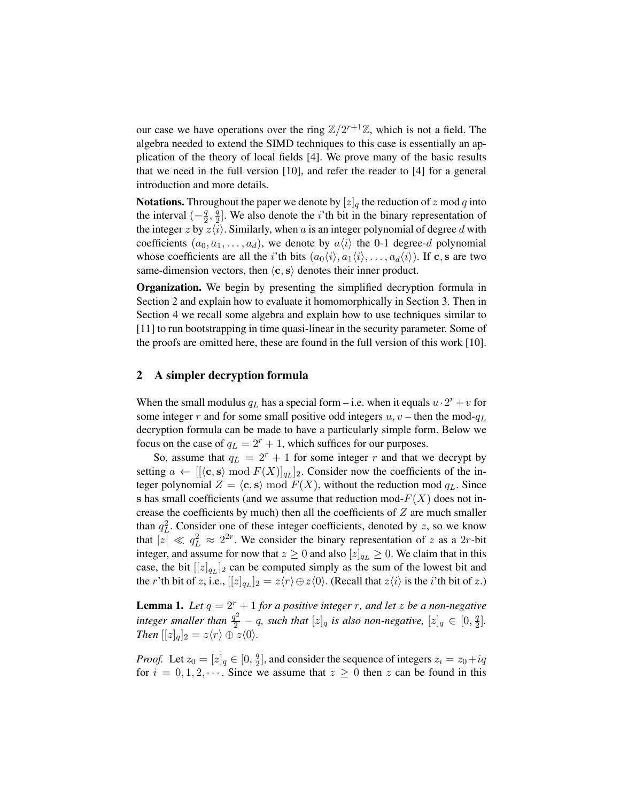our case we have operations over the ring  $\mathbb{Z}/2^{r+1}\mathbb{Z}$ , which is not a field. The algebra needed to extend the SIMD techniques to this case is essentially an application of the theory of local fields [4]. We prove many of the basic results that we need in the full version [10], and refer the reader to [4] for a general introduction and more details.

**Notations.** Throughout the paper we denote by  $[z]_q$  the reduction of z mod q into the interval  $\left(-\frac{q}{2}\right)$  $\frac{q}{2},\frac{q}{2}$  $\frac{q}{2}$ . We also denote the *i*'th bit in the binary representation of the integer z by  $z\langle i \rangle$ . Similarly, when a is an integer polynomial of degree d with coefficients  $(a_0, a_1, \ldots, a_d)$ , we denote by  $a\langle i \rangle$  the 0-1 degree-d polynomial whose coefficients are all the *i*'th bits  $(a_0\langle i \rangle, a_1\langle i \rangle, \ldots, a_d\langle i \rangle)$ . If **c**, s are two same-dimension vectors, then  $\langle c, s \rangle$  denotes their inner product.

Organization. We begin by presenting the simplified decryption formula in Section 2 and explain how to evaluate it homomorphically in Section 3. Then in Section 4 we recall some algebra and explain how to use techniques similar to [11] to run bootstrapping in time quasi-linear in the security parameter. Some of the proofs are omitted here, these are found in the full version of this work [10].

### 2 A simpler decryption formula

When the small modulus  $q_L$  has a special form – i.e. when it equals  $u \cdot 2^r + v$  for some integer r and for some small positive odd integers  $u, v$  – then the mod- $q_L$ decryption formula can be made to have a particularly simple form. Below we focus on the case of  $q_L = 2^r + 1$ , which suffices for our purposes.

So, assume that  $q_L = 2^r + 1$  for some integer r and that we decrypt by setting  $a \leftarrow [[\langle \mathbf{c}, \mathbf{s} \rangle \bmod F(X)]_{q_L}]_2$ . Consider now the coefficients of the integer polynomial  $Z = \langle c, s \rangle \mod F(X)$ , without the reduction mod  $q_L$ . Since s has small coefficients (and we assume that reduction mod- $F(X)$  does not increase the coefficients by much) then all the coefficients of  $Z$  are much smaller than  $q_L^2$ . Consider one of these integer coefficients, denoted by z, so we know that  $|\overline{z}| \ll q_L^2 \approx 2^{2r}$ . We consider the binary representation of z as a 2r-bit integer, and assume for now that  $z \geq 0$  and also  $[z]_{q_L} \geq 0$ . We claim that in this case, the bit  $[[z]_{q_L}]_2$  can be computed simply as the sum of the lowest bit and the *r*'th bit of z, i.e.,  $[[z]_{q_L}]_2 = z\langle r \rangle \oplus z\langle 0 \rangle$ . (Recall that  $z\langle i \rangle$  is the *i*'th bit of z.)

**Lemma 1.** Let  $q = 2^r + 1$  for a positive integer r, and let z be a non-negative integer smaller than  $\frac{q^2}{2} - q$ , such that  $[z]_q$  is also non-negative,  $[z]_q \in [0, \frac{q}{2}$  $\frac{q}{2}$ ]. *Then*  $[[z]_q]_2 = z\langle r \rangle \oplus z\langle 0 \rangle$ *.* 

*Proof.* Let  $z_0 = [z]_q \in [0, \frac{q}{2}]$  $\frac{q}{2}$ , and consider the sequence of integers  $z_i = z_0 + iq$ for  $i = 0, 1, 2, \dots$ . Since we assume that  $z \ge 0$  then z can be found in this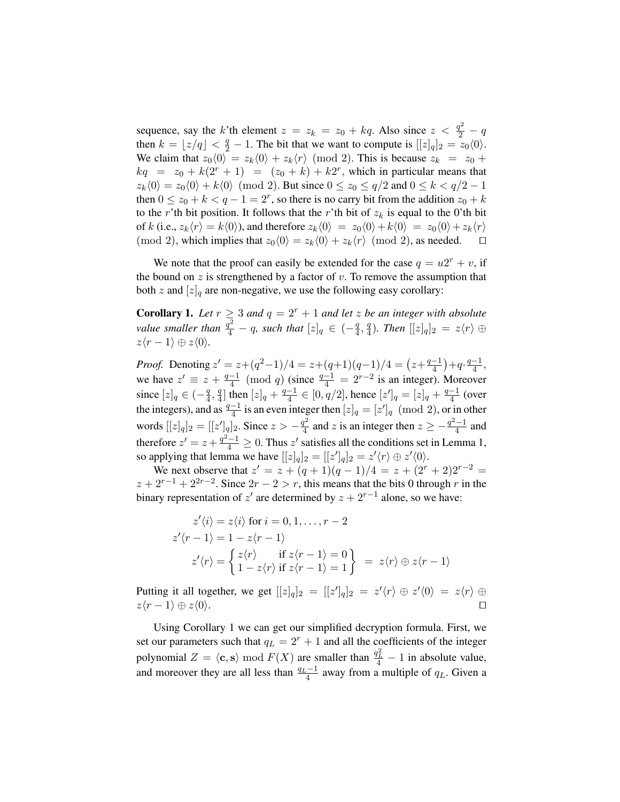sequence, say the k'th element  $z = z_k = z_0 + kq$ . Also since  $z < \frac{q^2}{2} - q$ then  $k = \lfloor z/q \rfloor < \frac{q}{2} - 1$ . The bit that we want to compute is  $\lfloor [z]_q \rfloor_2 = z_0 \langle 0 \rangle$ . We claim that  $z_0\langle 0 \rangle = z_k\langle 0 \rangle + z_k\langle r \rangle \pmod{2}$ . This is because  $z_k = z_0 + z_k$  $kq = z_0 + k(2^r + 1) = (z_0 + k) + k2^r$ , which in particular means that  $z_k(0) = z_0(0) + k(0) \pmod{2}$ . But since  $0 \le z_0 \le q/2$  and  $0 \le k < q/2 - 1$ then  $0 \le z_0 + k < q - 1 = 2^r$ , so there is no carry bit from the addition  $z_0 + k$ to the r'th bit position. It follows that the r'th bit of  $z_k$  is equal to the 0'th bit of k (i.e.,  $z_k\langle r \rangle = k\langle 0 \rangle$ ), and therefore  $z_k\langle 0 \rangle = z_0\langle 0 \rangle + k\langle 0 \rangle = z_0\langle 0 \rangle + z_k\langle r \rangle$ (mod 2), which implies that  $z_0(0) = z_k(0) + z_k(r) \pmod{2}$ , as needed.  $\Box$ 

We note that the proof can easily be extended for the case  $q = u2^r + v$ , if the bound on  $z$  is strengthened by a factor of  $v$ . To remove the assumption that both z and  $[z]_q$  are non-negative, we use the following easy corollary:

**Corollary 1.** Let  $r \geq 3$  and  $q = 2^r + 1$  and let z be an integer with absolute *value smaller than*  $\frac{q^2}{4} - q$ *, such that*  $[z]_q \in (-\frac{q}{4})$  $\frac{q}{4}, \frac{q}{4}$  $\frac{q}{4}$ ). Then  $[[z]_q]_2 = z\langle r \rangle \oplus$  $z\langle r-1\rangle \oplus z\langle 0\rangle.$ 

*Proof.* Denoting  $z' = z + (q^2 - 1)/4 = z + (q+1)(q-1)/4 = (z + \frac{q-1}{4})$  $\frac{-1}{4}$  +  $q \cdot \frac{q-1}{4}$  $\frac{-1}{4}$ , we have  $z' \equiv z + \frac{q-1}{4}$  $\frac{-1}{4}$  (mod q) (since  $\frac{q-1}{4} = 2^{r-2}$  is an integer). Moreover since  $[z]_q \in (-\frac{q}{4}]$  $\frac{q}{4}, \frac{q}{4}$  $\frac{q}{4}$ ] then  $[z]_q + \frac{q-1}{4}$  $\frac{-1}{4} \in [0, q/2]$ , hence  $[z']_q = [z]_q + \frac{q-1}{4}$  $\frac{-1}{4}$  (over the integers), and as  $\frac{q-1}{4}$  is an even integer then  $[z]_q = [z']_q \pmod{2}$ , or in other words  $[[z]_q]_2 = [[z']_q]_2$ . Since  $z > -\frac{q^2}{4}$  $\frac{q^2}{4}$  and z is an integer then  $z \geq -\frac{q^2-1}{4}$  $\frac{-1}{4}$  and therefore  $z' = z + \frac{q^2 - 1}{4} \ge 0$ . Thus  $z'$  satisfies all the conditions set in Lemma 1, so applying that lemma we have  $[[z]_q]_2 = [[z']_q]_2 = z' \langle r \rangle \oplus z' \langle 0 \rangle$ .

We next observe that  $z' = z + (q + 1)(q - 1)/4 = z + (2^r + 2)2^{r-2} =$  $z + 2^{r-1} + 2^{2r-2}$ . Since  $2r - 2 > r$ , this means that the bits 0 through r in the binary representation of  $z'$  are determined by  $z + 2^{r-1}$  alone, so we have:

$$
z'\langle i \rangle = z\langle i \rangle \text{ for } i = 0, 1, \dots, r - 2
$$
  
\n
$$
z'\langle r - 1 \rangle = 1 - z\langle r - 1 \rangle
$$
  
\n
$$
z'\langle r \rangle = \begin{cases} z\langle r \rangle & \text{if } z\langle r - 1 \rangle = 0 \\ 1 - z\langle r \rangle & \text{if } z\langle r - 1 \rangle = 1 \end{cases} = z\langle r \rangle \oplus z\langle r - 1 \rangle
$$

Putting it all together, we get  $[[z]_q]_2 = [[z']_q]_2 = z'\langle r \rangle \oplus z'\langle 0 \rangle = z\langle r \rangle \oplus z'$  $z\langle r-1\rangle \oplus z\langle 0\rangle.$ 

Using Corollary 1 we can get our simplified decryption formula. First, we set our parameters such that  $q_L = 2^r + 1$  and all the coefficients of the integer polynomial  $Z = \langle \mathbf{c}, \mathbf{s} \rangle \bmod F(X)$  are smaller than  $\frac{q_L^2}{4} - 1$  in absolute value, and moreover they are all less than  $\frac{q_L-1}{4}$  away from a multiple of  $q_L$ . Given a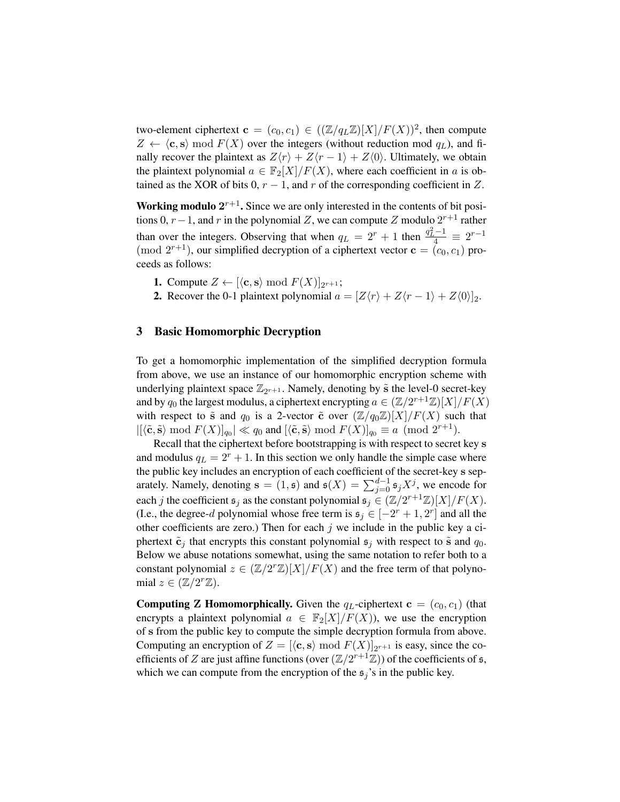two-element ciphertext  $\mathbf{c} = (c_0, c_1) \in ((\mathbb{Z}/q_L \mathbb{Z})[X]/F(X))^2$ , then compute  $Z \leftarrow \langle c, s \rangle \mod F(X)$  over the integers (without reduction mod  $q_L$ ), and finally recover the plaintext as  $Z\langle r\rangle + Z\langle r - 1\rangle + Z\langle 0\rangle$ . Ultimately, we obtain the plaintext polynomial  $a \in \mathbb{F}_2[X]/F(X)$ , where each coefficient in a is obtained as the XOR of bits 0,  $r - 1$ , and r of the corresponding coefficient in Z.

Working modulo  $2^{r+1}$ . Since we are only interested in the contents of bit positions 0,  $r-1$ , and r in the polynomial Z, we can compute Z modulo  $2^{r+1}$  rather than over the integers. Observing that when  $q_L = 2^r + 1$  then  $\frac{q_L^2 - 1}{4} \equiv 2^{r-1}$ (mod  $2^{r+1}$ ), our simplified decryption of a ciphertext vector  $\mathbf{c} = (c_0, c_1)$  proceeds as follows:

- **1.** Compute  $Z \leftarrow [\langle \mathbf{c}, \mathbf{s} \rangle \bmod F(X)]_{2^{r+1}}$ ;
- 2. Recover the 0-1 plaintext polynomial  $a = [Z(r) + Z(r 1) + Z(0)]_2$ .

# 3 Basic Homomorphic Decryption

To get a homomorphic implementation of the simplified decryption formula from above, we use an instance of our homomorphic encryption scheme with underlying plaintext space  $\mathbb{Z}_{2^{r+1}}$ . Namely, denoting by  $\tilde{s}$  the level-0 secret-key and by  $q_0$  the largest modulus, a ciphertext encrypting  $a \in (\mathbb{Z}/2^{r+1}\mathbb{Z})[X]/F(X)$ with respect to  $\tilde{s}$  and  $q_0$  is a 2-vector  $\tilde{c}$  over  $(\mathbb{Z}/q_0\mathbb{Z})[X]/F(X)$  such that  $|[\langle \tilde{\mathbf{c}}, \tilde{\mathbf{s}} \rangle \bmod F(X)]_{q_0}| \ll q_0$  and  $[\langle \tilde{\mathbf{c}}, \tilde{\mathbf{s}} \rangle \bmod F(X)]_{q_0} \equiv a \pmod{2^{r+1}}$ .

Recall that the ciphertext before bootstrapping is with respect to secret key s and modulus  $q_L = 2^r + 1$ . In this section we only handle the simple case where the public key includes an encryption of each coefficient of the secret-key s separately. Namely, denoting  $\mathbf{s} = (1, \mathbf{s})$  and  $\mathbf{s}(X) = \sum_{j=0}^{d-1} \mathbf{s}_j X^j$ , we encode for each j the coefficient  $\mathfrak{s}_j$  as the constant polynomial  $\mathfrak{s}_j \in (\mathbb{Z}/2^{r+1}\mathbb{Z})[X]/F(X)$ . (I.e., the degree-d polynomial whose free term is  $\mathfrak{s}_j \in [-2^r + 1, 2^r]$  and all the other coefficients are zero.) Then for each  $j$  we include in the public key a ciphertext  $\tilde{\mathbf{c}}_j$  that encrypts this constant polynomial  $\mathfrak{s}_j$  with respect to  $\tilde{\mathbf{s}}$  and  $q_0$ . Below we abuse notations somewhat, using the same notation to refer both to a constant polynomial  $z \in (\mathbb{Z}/2^{r}\mathbb{Z})[X]/F(X)$  and the free term of that polynomial  $z \in (\mathbb{Z}/2^r\mathbb{Z})$ .

**Computing Z Homomorphically.** Given the  $q_L$ -ciphertext  $c = (c_0, c_1)$  (that encrypts a plaintext polynomial  $a \in \mathbb{F}_2[X]/F(X)$ , we use the encryption of s from the public key to compute the simple decryption formula from above. Computing an encryption of  $Z = [ \langle \mathbf{c}, \mathbf{s} \rangle \bmod F(X) ]_{2^{r+1}}$  is easy, since the coefficients of Z are just affine functions (over  $(\mathbb{Z}/2^{r+1}\mathbb{Z})$ ) of the coefficients of  $\mathfrak{s}$ , which we can compute from the encryption of the  $\mathfrak{s}_i$ 's in the public key.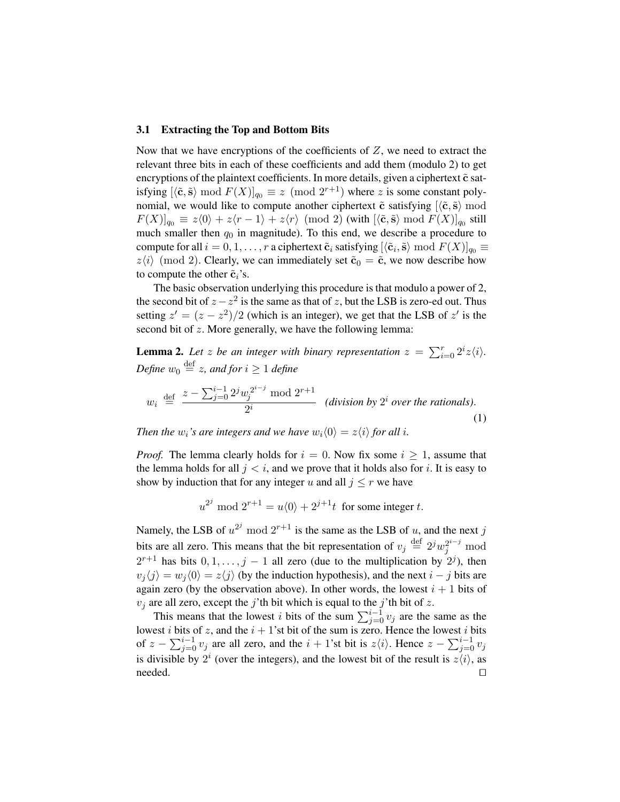#### 3.1 Extracting the Top and Bottom Bits

Now that we have encryptions of the coefficients of  $Z$ , we need to extract the relevant three bits in each of these coefficients and add them (modulo 2) to get encryptions of the plaintext coefficients. In more details, given a ciphertext  $\tilde{c}$  satisfying  $[\langle \tilde{\mathbf{c}}, \tilde{\mathbf{s}} \rangle \bmod F(X)]_{q_0} \equiv z \pmod{2^{r+1}}$  where z is some constant polynomial, we would like to compute another ciphertext  $\tilde{c}$  satisfying  $\langle \tilde{c}, \tilde{s} \rangle$  mod  $F(X)]_{q_0} \, \equiv \, z \langle 0 \rangle + z \langle r-1 \rangle + z \langle r \rangle \, \, \text{(mod 2)} \, \text{(with } [\langle \tilde{\mathbf{c}}, \tilde{\mathbf{s}} \rangle \bmod F(X)]_{q_0} \, \text{still}$ much smaller then  $q_0$  in magnitude). To this end, we describe a procedure to compute for all  $i = 0, 1, \ldots, r$  a ciphertext  $\tilde{\mathbf{c}}_i$  satisfying  $[\langle \tilde{\mathbf{c}}_i, \tilde{\mathbf{s}} \rangle \bmod F(X)]_{q_0} \equiv$  $z\langle i \rangle$  (mod 2). Clearly, we can immediately set  $\tilde{\mathbf{c}}_0 = \tilde{\mathbf{c}}$ , we now describe how to compute the other  $\tilde{c}_i$ 's.

The basic observation underlying this procedure is that modulo a power of 2, the second bit of  $z - z^2$  is the same as that of z, but the LSB is zero-ed out. Thus setting  $z' = (z - z^2)/2$  (which is an integer), we get that the LSB of  $z'$  is the second bit of z. More generally, we have the following lemma:

**Lemma 2.** Let z be an integer with binary representation  $z = \sum_{i=0}^{r} 2^{i}z \langle i \rangle$ . Define  $w_0 \stackrel{\text{def}}{=} z$ , and for  $i \geq 1$  define

$$
w_i \stackrel{\text{def}}{=} \frac{z - \sum_{j=0}^{i-1} 2^j w_j^{2^{i-j}} \mod 2^{r+1}}{2^i} \quad \text{(division by } 2^i \text{ over the rationals).}
$$
\n(1)

*Then the*  $w_i$ *'s are integers and we have*  $w_i(0) = z\langle i \rangle$  *for all i.* 

*Proof.* The lemma clearly holds for  $i = 0$ . Now fix some  $i \ge 1$ , assume that the lemma holds for all  $j < i$ , and we prove that it holds also for i. It is easy to show by induction that for any integer u and all  $j \leq r$  we have

$$
u^{2^j} \bmod 2^{r+1} = u\langle 0 \rangle + 2^{j+1}t \text{ for some integer } t.
$$

Namely, the LSB of  $u^{2^j}$  mod  $2^{r+1}$  is the same as the LSB of u, and the next j bits are all zero. This means that the bit representation of  $v_j \stackrel{\text{def}}{=} 2^j w_j^{2^{i-j}}$  mod  $2^{r+1}$  has bits  $0, 1, \ldots, j-1$  all zero (due to the multiplication by  $2^{j}$ ), then  $v_i \langle j \rangle = w_j \langle 0 \rangle = z \langle j \rangle$  (by the induction hypothesis), and the next  $i - j$  bits are again zero (by the observation above). In other words, the lowest  $i + 1$  bits of  $v_i$  are all zero, except the j'th bit which is equal to the j'th bit of z.

This means that the lowest i bits of the sum  $\sum_{j=0}^{i-1} v_j$  are the same as the lowest *i* bits of z, and the  $i + 1$ 'st bit of the sum is zero. Hence the lowest *i* bits of  $z - \sum_{j=0}^{i-1} v_j$  are all zero, and the  $i + 1$ 'st bit is  $z\langle i \rangle$ . Hence  $z - \sum_{j=0}^{i-1} v_j$ is divisible by  $2^i$  (over the integers), and the lowest bit of the result is  $z\langle i \rangle$ , as  $\Box$ needed.  $\Box$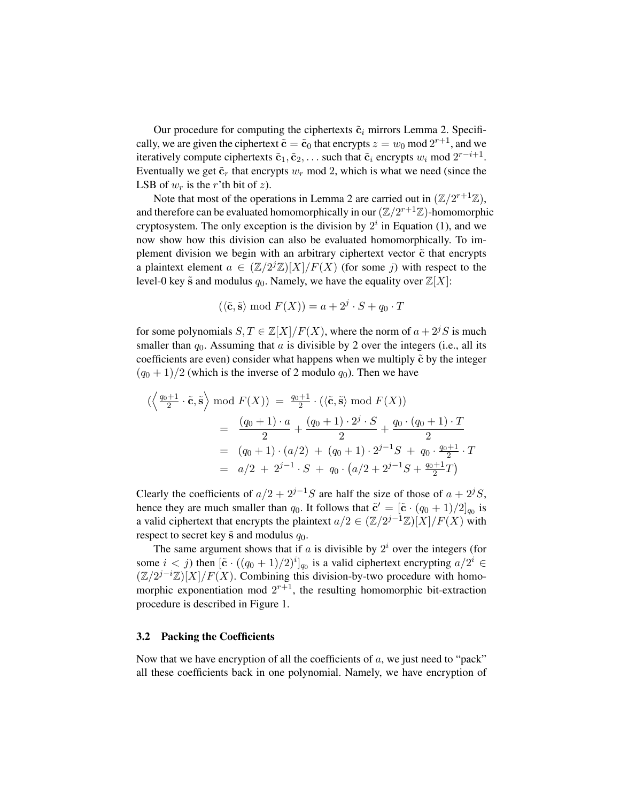Our procedure for computing the ciphertexts  $\tilde{\mathbf{c}}_i$  mirrors Lemma 2. Specifically, we are given the ciphertext  $\tilde{\mathbf{c}} = \tilde{\mathbf{c}}_0$  that encrypts  $z = w_0 \text{ mod } 2^{r+1}$ , and we iteratively compute ciphertexts  $\tilde{c}_1, \tilde{c}_2, \ldots$  such that  $\tilde{c}_i$  encrypts  $w_i$  mod  $2^{r-i+1}$ . Eventually we get  $\tilde{\mathbf{c}}_r$  that encrypts  $w_r$  mod 2, which is what we need (since the LSB of  $w_r$  is the r'th bit of z).

Note that most of the operations in Lemma 2 are carried out in  $(\mathbb{Z}/2^{r+1}\mathbb{Z})$ , and therefore can be evaluated homomorphically in our  $(\mathbb{Z}/2^{r+1}\mathbb{Z})$ -homomorphic cryptosystem. The only exception is the division by  $2<sup>i</sup>$  in Equation (1), and we now show how this division can also be evaluated homomorphically. To implement division we begin with an arbitrary ciphertext vector  $\tilde{c}$  that encrypts a plaintext element  $a \in (\mathbb{Z}/2^{j}\mathbb{Z})[X]/F(X)$  (for some j) with respect to the level-0 key  $\tilde{s}$  and modulus  $q_0$ . Namely, we have the equality over  $\mathbb{Z}[X]$ :

$$
(\langle \tilde{\mathbf{c}}, \tilde{\mathbf{s}} \rangle \bmod F(X)) = a + 2^j \cdot S + q_0 \cdot T
$$

for some polynomials  $S, T \in \mathbb{Z}[X]/F(X)$ , where the norm of  $a + 2^{j}S$  is much smaller than  $q_0$ . Assuming that a is divisible by 2 over the integers (i.e., all its coefficients are even) consider what happens when we multiply  $\tilde{c}$  by the integer  $(q_0 + 1)/2$  (which is the inverse of 2 modulo  $q_0$ ). Then we have

$$
\left(\left\langle \frac{q_0+1}{2} \cdot \tilde{\mathbf{c}}, \tilde{\mathbf{s}} \right\rangle \mod F(X) \right) = \frac{q_0+1}{2} \cdot \left(\left\langle \tilde{\mathbf{c}}, \tilde{\mathbf{s}} \right\rangle \mod F(X) \right)
$$
  
= 
$$
\frac{(q_0+1) \cdot a}{2} + \frac{(q_0+1) \cdot 2^j \cdot S}{2} + \frac{q_0 \cdot (q_0+1) \cdot T}{2}
$$
  
= 
$$
(q_0+1) \cdot (a/2) + (q_0+1) \cdot 2^{j-1}S + q_0 \cdot \frac{q_0+1}{2} \cdot T
$$
  
= 
$$
a/2 + 2^{j-1} \cdot S + q_0 \cdot (a/2 + 2^{j-1}S + \frac{q_0+1}{2}T)
$$

Clearly the coefficients of  $a/2 + 2^{j-1}S$  are half the size of those of  $a + 2^jS$ , hence they are much smaller than  $q_0$ . It follows that  $\tilde{\mathbf{c}}' = [\tilde{\mathbf{c}} \cdot (q_0 + 1)/2]_{q_0}$  is a valid ciphertext that encrypts the plaintext  $a/2 \in (\mathbb{Z}/2^{j-1}\mathbb{Z})[X]/F(X)$  with respect to secret key  $\tilde{s}$  and modulus  $q_0$ .

The same argument shows that if a is divisible by  $2<sup>i</sup>$  over the integers (for some  $i < j$ ) then  $\left[\tilde{\mathbf{c}} \cdot ((q_0 + 1)/2)^i\right]_{q_0}$  is a valid ciphertext encrypting  $a/2^i \in$  $(\mathbb{Z}/2^{j-i}\mathbb{Z})[X]/F(X)$ . Combining this division-by-two procedure with homomorphic exponentiation mod  $2^{r+1}$ , the resulting homomorphic bit-extraction procedure is described in Figure 1.

### 3.2 Packing the Coefficients

Now that we have encryption of all the coefficients of  $a$ , we just need to "pack" all these coefficients back in one polynomial. Namely, we have encryption of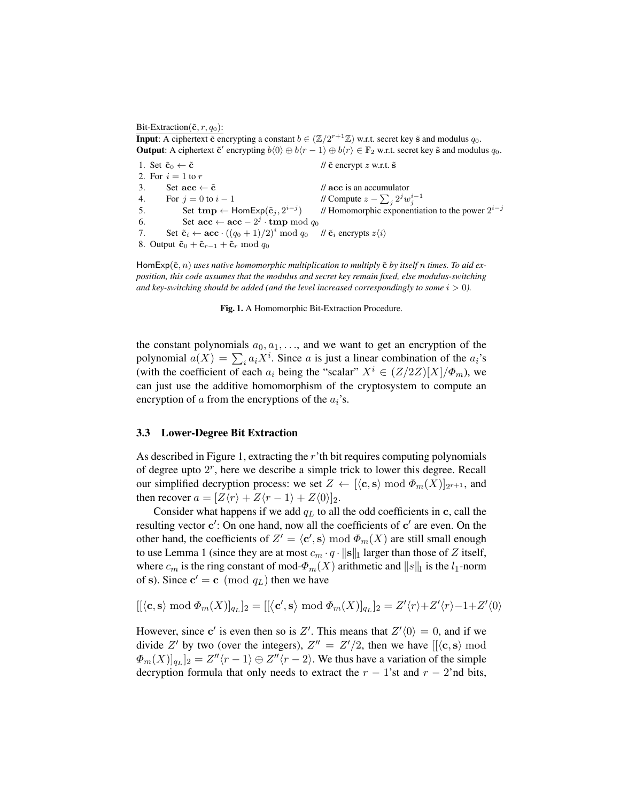Bit-Extraction( $\tilde{\mathbf{c}}$ ,  $r$ ,  $q_0$ ):

**Input**: A ciphertext  $\tilde{\mathbf{c}}$  encrypting a constant  $b \in (\mathbb{Z}/2^{r+1}\mathbb{Z})$  w.r.t. secret key  $\tilde{\mathbf{s}}$  and modulus  $q_0$ . **Output:** A ciphertext  $\tilde{c}'$  encrypting  $b(0) \oplus b(r-1) \oplus b(r) \in \mathbb{F}_2$  w.r.t. secret key  $\tilde{s}$  and modulus  $q_0$ .

1. Set  $\tilde{c}_0 \leftarrow \tilde{c}$  //  $\tilde{c}$  encrypt z w.r.t.  $\tilde{s}$ 2. For  $i = 1$  to r 3. Set  $\operatorname{acc} \leftarrow \tilde{\operatorname{c}}$  //  $\operatorname{acc}$  is an accumulator 4. For  $j = 0$  to  $i - 1$  $\sum_j 2^j w_j^{i-1}$ 5. Set  $\text{tmp} \leftarrow \text{HomExp}(\tilde{c}_j, 2^{i-j})$ ) // Homomorphic exponentiation to the power  $2^{i-j}$ 6. Set  $\mathbf{acc} \leftarrow \mathbf{acc} - 2^j \cdot \mathbf{tmp} \bmod q_0$ 7. Set  $\tilde{\mathbf{c}}_i \leftarrow \mathbf{acc} \cdot ((q_0 + 1)/2)^i \mod q_0 \quad \text{if } \tilde{\mathbf{c}}_i \text{ encrypts } z \langle i \rangle$ 8. Output  $\tilde{\mathbf{c}}_0 + \tilde{\mathbf{c}}_{r-1} + \tilde{\mathbf{c}}_r \mod q_0$ 

HomExp( $\tilde{\mathbf{c}}$ ,  $n$ ) uses native homomorphic multiplication to multiply  $\tilde{\mathbf{c}}$  by itself n times. To aid ex*position, this code assumes that the modulus and secret key remain fixed, else modulus-switching and key-switching should be added (and the level increased correspondingly to some*  $i > 0$ ).

Fig. 1. A Homomorphic Bit-Extraction Procedure.

the constant polynomials  $a_0, a_1, \ldots$ , and we want to get an encryption of the polynomial  $a(X) = \sum_i a_i X^i$ . Since a is just a linear combination of the  $a_i$ 's (with the coefficient of each  $a_i$  being the "scalar"  $X^i \in (Z/2Z)[X]/\Phi_m$ ), we can just use the additive homomorphism of the cryptosystem to compute an encryption of a from the encryptions of the  $a_i$ 's.

### 3.3 Lower-Degree Bit Extraction

As described in Figure 1, extracting the r'th bit requires computing polynomials of degree upto  $2<sup>r</sup>$ , here we describe a simple trick to lower this degree. Recall our simplified decryption process: we set  $Z \leftarrow [\langle \mathbf{c}, \mathbf{s} \rangle \bmod \Phi_m(X)]_{2^{r+1}}$ , and then recover  $a = [Z\langle r\rangle + Z\langle r - 1\rangle + Z\langle 0\rangle]_2$ .

Consider what happens if we add  $q_L$  to all the odd coefficients in c, call the resulting vector  $c'$ : On one hand, now all the coefficients of  $c'$  are even. On the other hand, the coefficients of  $Z' = \langle c', s \rangle \bmod \Phi_m(X)$  are still small enough to use Lemma 1 (since they are at most  $c_m \cdot q \cdot ||s||_1$  larger than those of Z itself, where  $c_m$  is the ring constant of mod- $\Phi_m(X)$  arithmetic and  $||s||_1$  is the  $l_1$ -norm of s). Since  $\mathbf{c}' = \mathbf{c} \pmod{q_L}$  then we have

$$
[[\langle \mathbf{c}, \mathbf{s} \rangle \bmod \Phi_m(X)]_{q_L}]_2 = [[\langle \mathbf{c}', \mathbf{s} \rangle \bmod \Phi_m(X)]_{q_L}]_2 = Z'\langle r \rangle + Z'\langle r \rangle - 1 + Z'\langle 0 \rangle
$$

However, since c' is even then so is Z'. This means that  $Z'(0) = 0$ , and if we divide Z' by two (over the integers),  $Z'' = Z'/2$ , then we have  $\langle [\langle c, s \rangle \mod 2] \rangle$  $\Phi_m(X)]_{q_L}]_2 = Z''(r-1) \oplus Z''(r-2)$ . We thus have a variation of the simple decryption formula that only needs to extract the  $r - 1$ 'st and  $r - 2$ 'nd bits,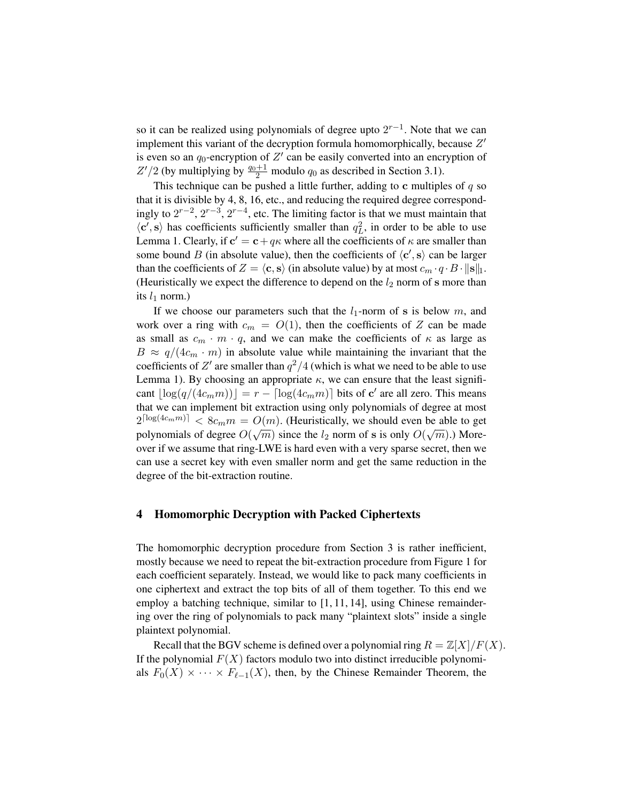so it can be realized using polynomials of degree upto  $2^{r-1}$ . Note that we can implement this variant of the decryption formula homomorphically, because  $Z'$ is even so an  $q_0$ -encryption of  $Z'$  can be easily converted into an encryption of  $Z'/2$  (by multiplying by  $\frac{q_0+1}{2}$  modulo  $q_0$  as described in Section 3.1).

This technique can be pushed a little further, adding to c multiples of  $q$  so that it is divisible by 4, 8, 16, etc., and reducing the required degree correspondingly to  $2^{r-2}$ ,  $2^{r-3}$ ,  $2^{r-4}$ , etc. The limiting factor is that we must maintain that  $\langle \mathbf{c}', \mathbf{s} \rangle$  has coefficients sufficiently smaller than  $q_L^2$ , in order to be able to use Lemma 1. Clearly, if  $\mathbf{c}' = \mathbf{c} + q\kappa$  where all the coefficients of  $\kappa$  are smaller than some bound B (in absolute value), then the coefficients of  $\langle c', s \rangle$  can be larger than the coefficients of  $Z = \langle c, s \rangle$  (in absolute value) by at most  $c_m \cdot q \cdot B \cdot ||s||_1$ . (Heuristically we expect the difference to depend on the  $l_2$  norm of s more than its  $l_1$  norm.)

If we choose our parameters such that the  $l_1$ -norm of s is below m, and work over a ring with  $c_m = O(1)$ , then the coefficients of Z can be made as small as  $c_m \cdot m \cdot q$ , and we can make the coefficients of  $\kappa$  as large as  $B \approx q/(4c_m \cdot m)$  in absolute value while maintaining the invariant that the coefficients of Z' are smaller than  $q^2/4$  (which is what we need to be able to use Lemma 1). By choosing an appropriate  $\kappa$ , we can ensure that the least significant  $\lfloor log(q/(4c_mm)) \rfloor = r - \lceil log(4c_mm) \rceil$  bits of c' are all zero. This means that we can implement bit extraction using only polynomials of degree at most  $2^{\lceil \log(4c_m m) \rceil} < 8c_m m = O(m)$ . (Heuristically, we should even be able to get polynomials of degree  $O(\sqrt{m})$  since the  $l_2$  norm of s is only  $O(\sqrt{m})$ .) Moreover if we assume that ring-LWE is hard even with a very sparse secret, then we can use a secret key with even smaller norm and get the same reduction in the degree of the bit-extraction routine.

# 4 Homomorphic Decryption with Packed Ciphertexts

The homomorphic decryption procedure from Section 3 is rather inefficient, mostly because we need to repeat the bit-extraction procedure from Figure 1 for each coefficient separately. Instead, we would like to pack many coefficients in one ciphertext and extract the top bits of all of them together. To this end we employ a batching technique, similar to [1, 11, 14], using Chinese remaindering over the ring of polynomials to pack many "plaintext slots" inside a single plaintext polynomial.

Recall that the BGV scheme is defined over a polynomial ring  $R = \mathbb{Z}[X]/F(X)$ . If the polynomial  $F(X)$  factors modulo two into distinct irreducible polynomials  $F_0(X) \times \cdots \times F_{\ell-1}(X)$ , then, by the Chinese Remainder Theorem, the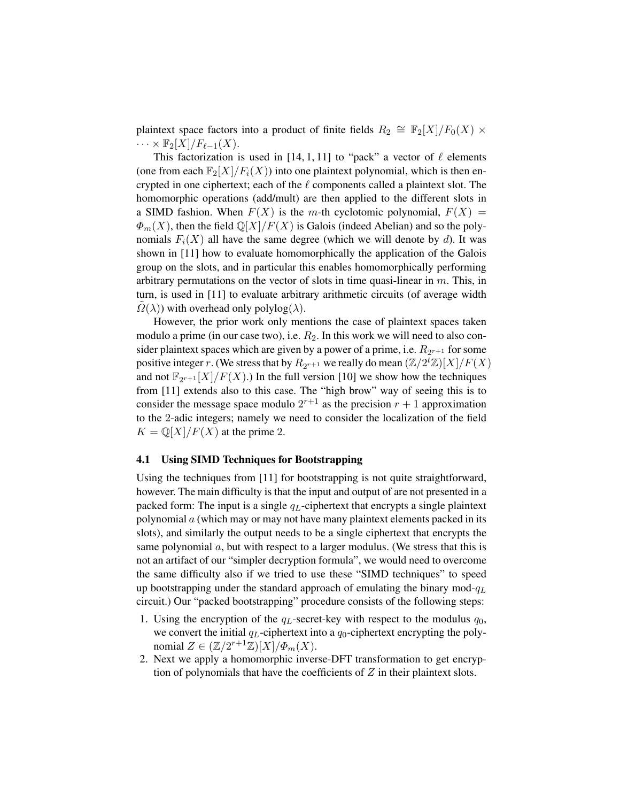plaintext space factors into a product of finite fields  $R_2 \cong \mathbb{F}_2[X]/F_0(X) \times$  $\cdots \times \mathbb{F}_2[X]/F_{\ell-1}(X).$ 

This factorization is used in [14, 1, 11] to "pack" a vector of  $\ell$  elements (one from each  $\mathbb{F}_2[X]/F_i(X)$ ) into one plaintext polynomial, which is then encrypted in one ciphertext; each of the  $\ell$  components called a plaintext slot. The homomorphic operations (add/mult) are then applied to the different slots in a SIMD fashion. When  $F(X)$  is the m-th cyclotomic polynomial,  $F(X) =$  $\Phi_m(X)$ , then the field  $\mathbb{Q}[X]/F(X)$  is Galois (indeed Abelian) and so the polynomials  $F_i(X)$  all have the same degree (which we will denote by d). It was shown in [11] how to evaluate homomorphically the application of the Galois group on the slots, and in particular this enables homomorphically performing arbitrary permutations on the vector of slots in time quasi-linear in  $m$ . This, in turn, is used in [11] to evaluate arbitrary arithmetic circuits (of average width  $\Omega(\lambda)$ ) with overhead only polylog( $\lambda$ ).

However, the prior work only mentions the case of plaintext spaces taken modulo a prime (in our case two), i.e.  $R_2$ . In this work we will need to also consider plaintext spaces which are given by a power of a prime, i.e.  $R_{2^{r+1}}$  for some positive integer r. (We stress that by  $R_{2r+1}$  we really do mean  $(\mathbb{Z}/2^t\mathbb{Z})[X]/F(X)$ and not  $\mathbb{F}_{2^{r+1}}[X]/F(X)$ .) In the full version [10] we show how the techniques from [11] extends also to this case. The "high brow" way of seeing this is to consider the message space modulo  $2^{r+1}$  as the precision  $r+1$  approximation to the 2-adic integers; namely we need to consider the localization of the field  $K = \mathbb{Q}[X]/F(X)$  at the prime 2.

### 4.1 Using SIMD Techniques for Bootstrapping

Using the techniques from [11] for bootstrapping is not quite straightforward, however. The main difficulty is that the input and output of are not presented in a packed form: The input is a single  $q_L$ -ciphertext that encrypts a single plaintext polynomial  $\alpha$  (which may or may not have many plaintext elements packed in its slots), and similarly the output needs to be a single ciphertext that encrypts the same polynomial a, but with respect to a larger modulus. (We stress that this is not an artifact of our "simpler decryption formula", we would need to overcome the same difficulty also if we tried to use these "SIMD techniques" to speed up bootstrapping under the standard approach of emulating the binary mod- $q_L$ circuit.) Our "packed bootstrapping" procedure consists of the following steps:

- 1. Using the encryption of the  $q_L$ -secret-key with respect to the modulus  $q_0$ , we convert the initial  $q_L$ -ciphertext into a  $q_0$ -ciphertext encrypting the polynomial  $Z \in (\mathbb{Z}/2^{r+1}\mathbb{Z})[X]/\Phi_m(X)$ .
- 2. Next we apply a homomorphic inverse-DFT transformation to get encryption of polynomials that have the coefficients of  $Z$  in their plaintext slots.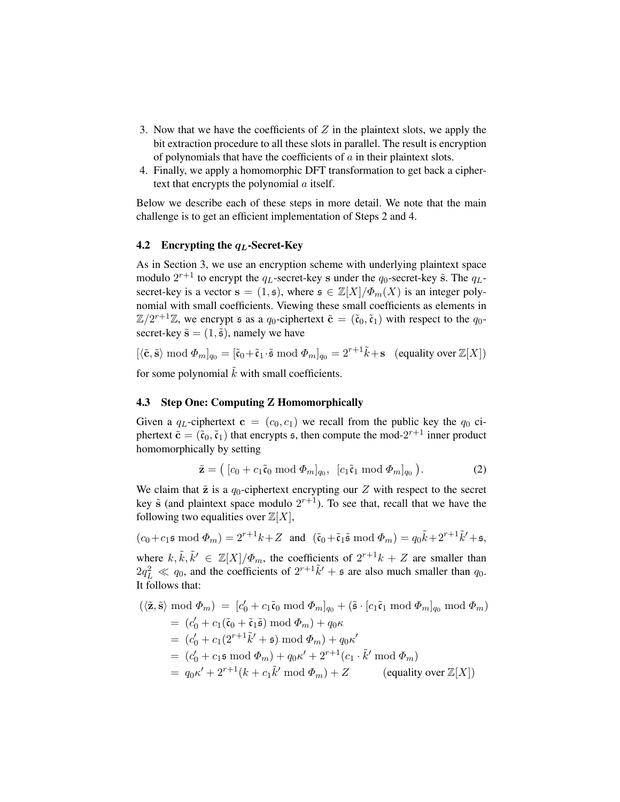- 3. Now that we have the coefficients of  $Z$  in the plaintext slots, we apply the bit extraction procedure to all these slots in parallel. The result is encryption of polynomials that have the coefficients of  $\alpha$  in their plaintext slots.
- 4. Finally, we apply a homomorphic DFT transformation to get back a ciphertext that encrypts the polynomial a itself.

Below we describe each of these steps in more detail. We note that the main challenge is to get an efficient implementation of Steps 2 and 4.

# 4.2 Encrypting the  $q_L$ -Secret-Key

As in Section 3, we use an encryption scheme with underlying plaintext space modulo  $2^{r+1}$  to encrypt the  $q_L$ -secret-key s under the  $q_0$ -secret-key  $\tilde{\mathbf{s}}$ . The  $q_L$ secret-key is a vector  $s = (1, s)$ , where  $s \in \mathbb{Z}[X]/\Phi_m(X)$  is an integer polynomial with small coefficients. Viewing these small coefficients as elements in  $\mathbb{Z}/2^{r+1}\mathbb{Z}$ , we encrypt s as a  $q_0$ -ciphertext  $\tilde{\mathbf{c}} = (\tilde{\mathfrak{c}}_0, \tilde{\mathfrak{c}}_1)$  with respect to the  $q_0$ secret-key  $\tilde{\mathbf{s}} = (1, \tilde{\mathbf{s}})$ , namely we have

 $[\langle \tilde{\mathbf{c}}, \tilde{\mathbf{s}} \rangle \bmod \Phi_m]_{q_0} = [\tilde{\mathbf{c}}_0 + \tilde{\mathbf{c}}_1 \cdot \tilde{\mathbf{s}} \bmod \Phi_m]_{q_0} = 2^{r+1} \tilde{k} + \mathbf{s}$  (equality over  $\mathbb{Z}[X]$ )

for some polynomial  $\tilde{k}$  with small coefficients.

# 4.3 Step One: Computing Z Homomorphically

Given a  $q_L$ -ciphertext  $c = (c_0, c_1)$  we recall from the public key the  $q_0$  ciphertext  $\tilde{\mathbf{c}} = (\tilde{\mathbf{c}}_0, \tilde{\mathbf{c}}_1)$  that encrypts  $\mathfrak{s}$ , then compute the mod- $2^{r+1}$  inner product homomorphically by setting

$$
\tilde{\mathbf{z}} = ([c_0 + c_1 \tilde{\mathbf{c}}_0 \bmod \Phi_m]_{q_0}, [c_1 \tilde{\mathbf{c}}_1 \bmod \Phi_m]_{q_0}).
$$
\n(2)

We claim that  $\tilde{z}$  is a  $q_0$ -ciphertext encrypting our  $Z$  with respect to the secret key  $\tilde{s}$  (and plaintext space modulo  $2^{r+1}$ ). To see that, recall that we have the following two equalities over  $\mathbb{Z}[X]$ ,

 $(c_0 + c_1 \mathfrak{s} \bmod \Phi_m) = 2^{r+1}k + Z$  and  $(\tilde{\mathfrak{c}}_0 + \tilde{\mathfrak{c}}_1 \tilde{\mathfrak{s}} \bmod \Phi_m) = q_0 \tilde{k} + 2^{r+1} \tilde{k}' + \mathfrak{s},$ where  $k, \tilde{k}, \tilde{k}' \in \mathbb{Z}[X]/\Phi_m$ , the coefficients of  $2^{r+1}k + Z$  are smaller than  $2q_L^2 \ll q_0$ , and the coefficients of  $2^{r+1}\tilde{k}' + \epsilon$  are also much smaller than  $q_0$ . It follows that:

$$
(\langle \tilde{\mathbf{z}}, \tilde{\mathbf{s}} \rangle \bmod \Phi_m) = [c'_0 + c_1 \tilde{\mathbf{c}}_0 \bmod \Phi_m]_{q_0} + (\tilde{\mathbf{s}} \cdot [c_1 \tilde{\mathbf{c}}_1 \bmod \Phi_m]_{q_0} \bmod \Phi_m)
$$
  
\n
$$
= (c'_0 + c_1(\tilde{\mathbf{c}}_0 + \tilde{\mathbf{c}}_1 \tilde{\mathbf{s}}) \bmod \Phi_m) + q_0 \kappa
$$
  
\n
$$
= (c'_0 + c_1(2^{r+1}\tilde{k}' + \mathbf{s}) \bmod \Phi_m) + q_0 \kappa'
$$
  
\n
$$
= (c'_0 + c_1 \mathbf{s} \bmod \Phi_m) + q_0 \kappa' + 2^{r+1}(c_1 \cdot \tilde{k}' \bmod \Phi_m)
$$
  
\n
$$
= q_0 \kappa' + 2^{r+1}(k + c_1 \tilde{k}' \bmod \Phi_m) + Z \qquad \text{(equality over } \mathbb{Z}[X])
$$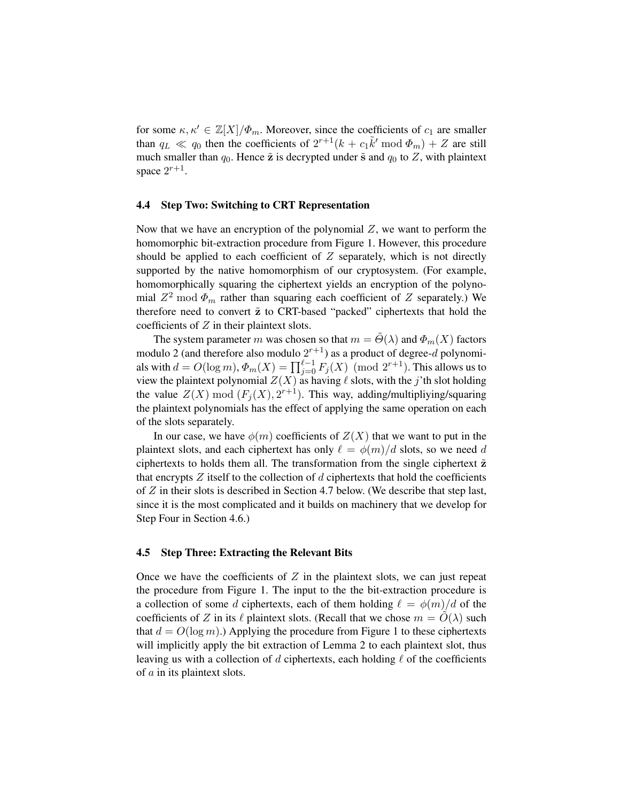for some  $\kappa, \kappa' \in \mathbb{Z}[X]/\Phi_m$ . Moreover, since the coefficients of  $c_1$  are smaller than  $q_L \ll q_0$  then the coefficients of  $2^{r+1}(k + c_1 \tilde{k}' \mod \Phi_m) + Z$  are still much smaller than  $q_0$ . Hence  $\tilde{z}$  is decrypted under  $\tilde{s}$  and  $q_0$  to  $Z$ , with plaintext space  $2^{r+1}$ .

# 4.4 Step Two: Switching to CRT Representation

Now that we have an encryption of the polynomial  $Z$ , we want to perform the homomorphic bit-extraction procedure from Figure 1. However, this procedure should be applied to each coefficient of  $Z$  separately, which is not directly supported by the native homomorphism of our cryptosystem. (For example, homomorphically squaring the ciphertext yields an encryption of the polynomial  $Z^2$  mod  $\Phi_m$  rather than squaring each coefficient of Z separately.) We therefore need to convert  $\tilde{z}$  to CRT-based "packed" ciphertexts that hold the coefficients of Z in their plaintext slots.

The system parameter m was chosen so that  $m = \Theta(\lambda)$  and  $\Phi_m(X)$  factors modulo 2 (and therefore also modulo  $2^{r+1}$ ) as a product of degree-d polynomials with  $d = O(\log m)$ ,  $\Phi_m(X) = \prod_{j=0}^{\ell-1} F_j(X) \pmod{2^{r+1}}$ . This allows us to view the plaintext polynomial  $Z(X)$  as having  $\ell$  slots, with the j'th slot holding the value  $Z(X) \bmod (F_j(X), 2^{r+1})$ . This way, adding/multipliying/squaring the plaintext polynomials has the effect of applying the same operation on each of the slots separately.

In our case, we have  $\phi(m)$  coefficients of  $Z(X)$  that we want to put in the plaintext slots, and each ciphertext has only  $\ell = \phi(m)/d$  slots, so we need d ciphertexts to holds them all. The transformation from the single ciphertext  $\tilde{z}$ that encrypts  $Z$  itself to the collection of  $d$  ciphertexts that hold the coefficients of Z in their slots is described in Section 4.7 below. (We describe that step last, since it is the most complicated and it builds on machinery that we develop for Step Four in Section 4.6.)

### 4.5 Step Three: Extracting the Relevant Bits

Once we have the coefficients of  $Z$  in the plaintext slots, we can just repeat the procedure from Figure 1. The input to the the bit-extraction procedure is a collection of some d ciphertexts, each of them holding  $\ell = \phi(m)/d$  of the coefficients of Z in its  $\ell$  plaintext slots. (Recall that we chose  $m = O(\lambda)$  such that  $d = O(\log m)$ .) Applying the procedure from Figure 1 to these ciphertexts will implicitly apply the bit extraction of Lemma 2 to each plaintext slot, thus leaving us with a collection of d ciphertexts, each holding  $\ell$  of the coefficients of a in its plaintext slots.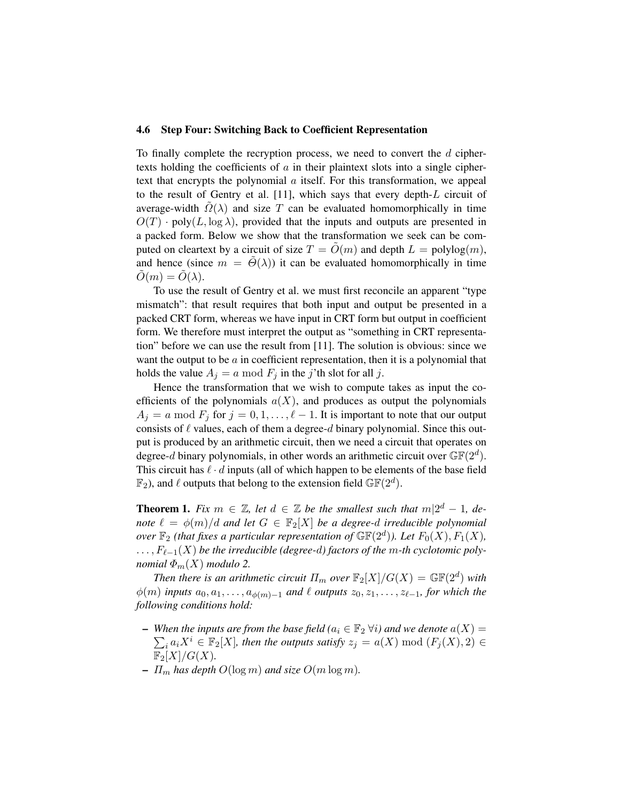#### 4.6 Step Four: Switching Back to Coefficient Representation

To finally complete the recryption process, we need to convert the  $d$  ciphertexts holding the coefficients of  $a$  in their plaintext slots into a single ciphertext that encrypts the polynomial a itself. For this transformation, we appeal to the result of Gentry et al. [11], which says that every depth-L circuit of average-width  $\Omega(\lambda)$  and size T can be evaluated homomorphically in time  $O(T)$  · poly $(L, \log \lambda)$ , provided that the inputs and outputs are presented in a packed form. Below we show that the transformation we seek can be computed on cleartext by a circuit of size  $T = O(m)$  and depth  $L = \text{polylog}(m)$ , and hence (since  $m = \tilde{\Theta}(\lambda)$ ) it can be evaluated homomorphically in time  $\tilde{O}(m) = \tilde{O}(\lambda).$ 

To use the result of Gentry et al. we must first reconcile an apparent "type mismatch": that result requires that both input and output be presented in a packed CRT form, whereas we have input in CRT form but output in coefficient form. We therefore must interpret the output as "something in CRT representation" before we can use the result from [11]. The solution is obvious: since we want the output to be  $\alpha$  in coefficient representation, then it is a polynomial that holds the value  $A_i = a \mod F_i$  in the j'th slot for all j.

Hence the transformation that we wish to compute takes as input the coefficients of the polynomials  $a(X)$ , and produces as output the polynomials  $A_i = a \mod F_i$  for  $j = 0, 1, \ldots, \ell - 1$ . It is important to note that our output consists of  $\ell$  values, each of them a degree-d binary polynomial. Since this output is produced by an arithmetic circuit, then we need a circuit that operates on degree-d binary polynomials, in other words an arithmetic circuit over  $\mathbb{GF}(2^d)$ . This circuit has  $\ell \cdot d$  inputs (all of which happen to be elements of the base field  $\mathbb{F}_2$ ), and  $\ell$  outputs that belong to the extension field  $\mathbb{GF}(2^d)$ .

**Theorem 1.** Fix  $m \in \mathbb{Z}$ , let  $d \in \mathbb{Z}$  be the smallest such that  $m|2^d-1$ , de*note*  $\ell = \phi(m)/d$  *and let*  $G \in \mathbb{F}_2[X]$  *be a degree-d irreducible polynomial over*  $\mathbb{F}_2$  *(that fixes a particular representation of*  $\mathbb{GF}(2^d)$ *). Let*  $F_0(X)$ *,*  $F_1(X)$ *,*  $\dots, F_{\ell-1}(X)$  *be the irreducible (degree-d) factors of the m-th cyclotomic polynomial*  $\Phi_m(X)$  *modulo* 2.

*Then there is an arithmetic circuit*  $\Pi_m$  *over*  $\mathbb{F}_2[X]/G(X) = \mathbb{GF}(2^d)$  *with*  $\phi(m)$  *inputs*  $a_0, a_1, \ldots, a_{\phi(m)-1}$  *and*  $\ell$  *outputs*  $z_0, z_1, \ldots, z_{\ell-1}$ *, for which the following conditions hold:*

- $-$  When the inputs are from the base field ( $a_i \in \mathbb{F}_2$  ∀i) and we denote  $a(X) =$  $\sum_i a_i X^i \in \mathbb{F}_2[X]$ , then the outputs satisfy  $z_j = a(X) \bmod (F_j(X), 2) \in$  $\mathbb{F}_2[X]/G(X)$ .
- $-I/m$  *has depth*  $O(\log m)$  *and size*  $O(m \log m)$ *.*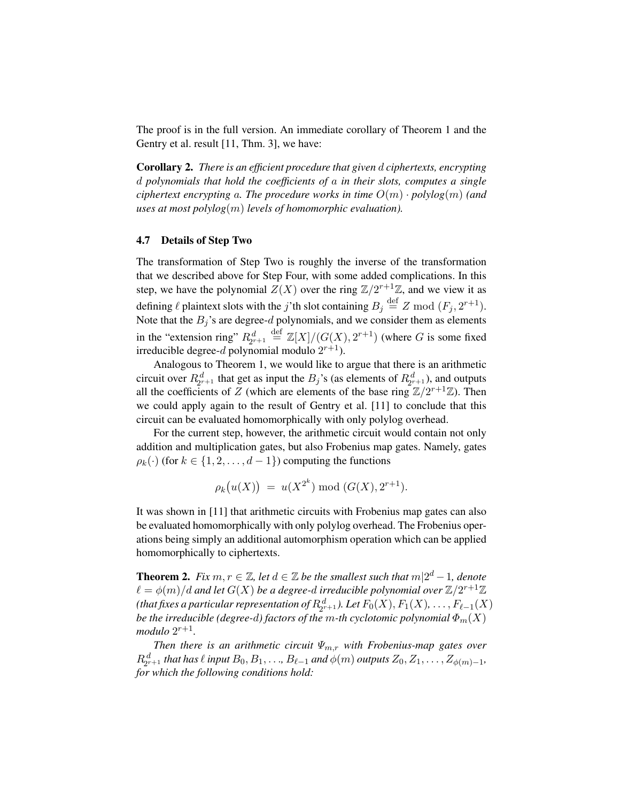The proof is in the full version. An immediate corollary of Theorem 1 and the Gentry et al. result [11, Thm. 3], we have:

Corollary 2. *There is an efficient procedure that given* d *ciphertexts, encrypting* d *polynomials that hold the coefficients of* a *in their slots, computes a single ciphertext encrypting a. The procedure works in time*  $O(m) \cdot polylog(m)$  *(and uses at most polylog*(m) *levels of homomorphic evaluation).*

#### 4.7 Details of Step Two

The transformation of Step Two is roughly the inverse of the transformation that we described above for Step Four, with some added complications. In this step, we have the polynomial  $Z(X)$  over the ring  $\mathbb{Z}/2^{r+1}\mathbb{Z}$ , and we view it as defining  $\ell$  plaintext slots with the j'th slot containing  $B_j \stackrel{\text{def}}{=} Z \text{ mod } (F_j, 2^{r+1})$ . Note that the  $B_j$ 's are degree-d polynomials, and we consider them as elements in the "extension ring"  $R_{2^{r+1}}^d \stackrel{\text{def}}{=} \mathbb{Z}[X]/(G(X), 2^{r+1})$  (where G is some fixed irreducible degree-d polynomial modulo  $2^{r+1}$ ).

Analogous to Theorem 1, we would like to argue that there is an arithmetic circuit over  $R_{2r+1}^d$  that get as input the  $B_j$ 's (as elements of  $R_{2r+1}^d$ ), and outputs all the coefficients of Z (which are elements of the base ring  $\mathbb{Z}/2^{r+1}\mathbb{Z}$ ). Then we could apply again to the result of Gentry et al. [11] to conclude that this circuit can be evaluated homomorphically with only polylog overhead.

For the current step, however, the arithmetic circuit would contain not only addition and multiplication gates, but also Frobenius map gates. Namely, gates  $\rho_k(\cdot)$  (for  $k \in \{1, 2, \ldots, d-1\}$ ) computing the functions

$$
\rho_k(u(X)) = u(X^{2^k}) \bmod (G(X), 2^{r+1}).
$$

It was shown in [11] that arithmetic circuits with Frobenius map gates can also be evaluated homomorphically with only polylog overhead. The Frobenius operations being simply an additional automorphism operation which can be applied homomorphically to ciphertexts.

**Theorem 2.** Fix  $m, r \in \mathbb{Z}$ , let  $d \in \mathbb{Z}$  be the smallest such that  $m|2^d-1$ , denote  $\ell = \phi(m)/d$  and let  $G(X)$  be a degree-d irreducible polynomial over  $\mathbb{Z}/2^{r+1}\mathbb{Z}$ (that fixes a particular representation of  $R_{2^{r+1}}^d$ ). Let  $F_0(X), F_1(X), \ldots, F_{\ell-1}(X)$ *be the irreducible (degree-*d*) factors of the* m*-th cyclotomic polynomial* Φm(X)  $modulo 2^{r+1}$ .

*Then there is an arithmetic circuit*  $\Psi_{m,r}$  *with Frobenius-map gates over*  $R_{2^{r+1}}^d$  *that has*  $\ell$  *input*  $B_0, B_1, \ldots, B_{\ell-1}$  *and*  $\phi(m)$  *outputs*  $Z_0, Z_1, \ldots, Z_{\phi(m)-1}$ *, for which the following conditions hold:*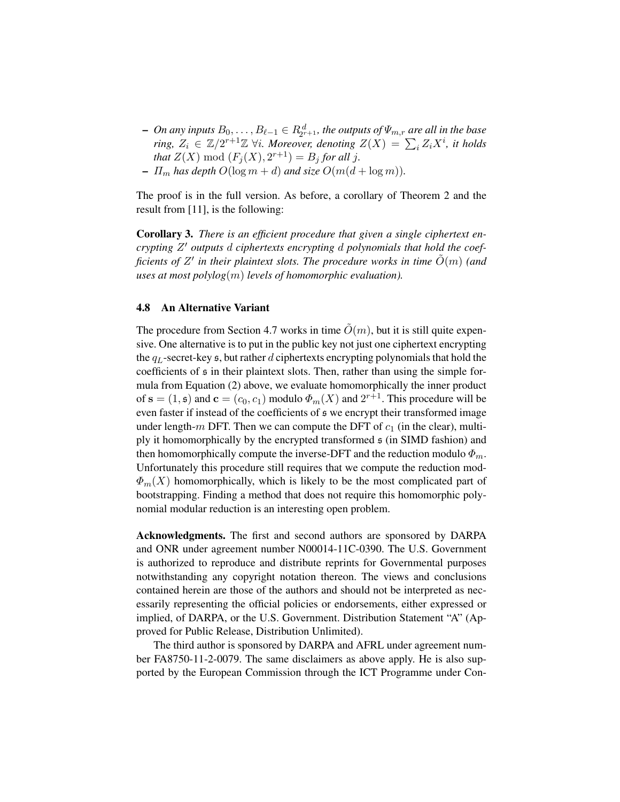- − On any inputs  $B_0, \ldots, B_{\ell-1}$  ∈  $R^d_{2^{r+1}}$ , the outputs of  $\Psi_{m,r}$  are all in the base *ring,*  $Z_i \in \mathbb{Z}/2^{r+1}\mathbb{Z}$   $\forall i$ . Moreover, denoting  $Z(X) = \sum_i Z_i X^i$ , it holds *that*  $Z(X) \text{ mod } (F_j(X), 2^{r+1}) = B_j \text{ for all } j.$
- $-I_{m}$  has depth  $O(\log m + d)$  and size  $O(m(d + \log m))$ .

The proof is in the full version. As before, a corollary of Theorem 2 and the result from [11], is the following:

Corollary 3. *There is an efficient procedure that given a single ciphertext encrypting* Z <sup>0</sup> *outputs* d *ciphertexts encrypting* d *polynomials that hold the coefficients of Z' in their plaintext slots. The procedure works in time*  $\tilde{O}(m)$  *(and*) *uses at most polylog*(m) *levels of homomorphic evaluation).*

### 4.8 An Alternative Variant

The procedure from Section 4.7 works in time  $\tilde{O}(m)$ , but it is still quite expensive. One alternative is to put in the public key not just one ciphertext encrypting the  $q_L$ -secret-key  $\mathfrak s$ , but rather d ciphertexts encrypting polynomials that hold the coefficients of s in their plaintext slots. Then, rather than using the simple formula from Equation (2) above, we evaluate homomorphically the inner product of  $\mathbf{s} = (1, \mathbf{s})$  and  $\mathbf{c} = (c_0, c_1)$  modulo  $\Phi_m(X)$  and  $2^{r+1}$ . This procedure will be even faster if instead of the coefficients of s we encrypt their transformed image under length-m DFT. Then we can compute the DFT of  $c_1$  (in the clear), multiply it homomorphically by the encrypted transformed s (in SIMD fashion) and then homomorphically compute the inverse-DFT and the reduction modulo  $\Phi_m$ . Unfortunately this procedure still requires that we compute the reduction mod- $\Phi_m(X)$  homomorphically, which is likely to be the most complicated part of bootstrapping. Finding a method that does not require this homomorphic polynomial modular reduction is an interesting open problem.

Acknowledgments. The first and second authors are sponsored by DARPA and ONR under agreement number N00014-11C-0390. The U.S. Government is authorized to reproduce and distribute reprints for Governmental purposes notwithstanding any copyright notation thereon. The views and conclusions contained herein are those of the authors and should not be interpreted as necessarily representing the official policies or endorsements, either expressed or implied, of DARPA, or the U.S. Government. Distribution Statement "A" (Approved for Public Release, Distribution Unlimited).

The third author is sponsored by DARPA and AFRL under agreement number FA8750-11-2-0079. The same disclaimers as above apply. He is also supported by the European Commission through the ICT Programme under Con